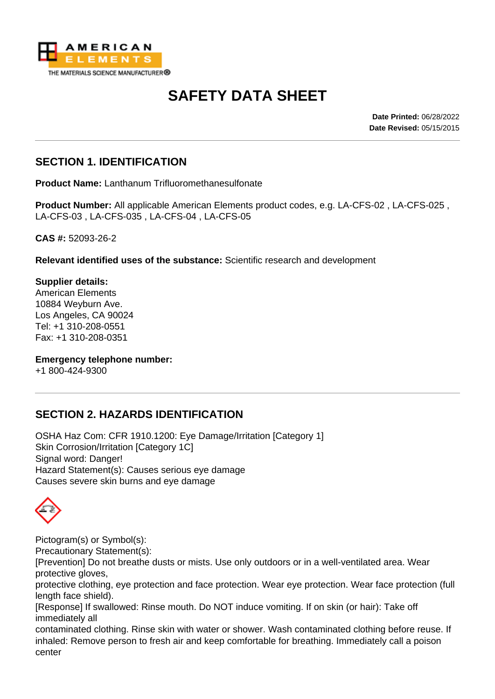

# **SAFETY DATA SHEET**

**Date Printed:** 06/28/2022 **Date Revised:** 05/15/2015

## **SECTION 1. IDENTIFICATION**

**Product Name:** Lanthanum Trifluoromethanesulfonate

**Product Number:** All applicable American Elements product codes, e.g. LA-CFS-02 , LA-CFS-025 , LA-CFS-03 , LA-CFS-035 , LA-CFS-04 , LA-CFS-05

**CAS #:** 52093-26-2

**Relevant identified uses of the substance:** Scientific research and development

**Supplier details:** American Elements 10884 Weyburn Ave. Los Angeles, CA 90024 Tel: +1 310-208-0551 Fax: +1 310-208-0351

**Emergency telephone number:**

+1 800-424-9300

# **SECTION 2. HAZARDS IDENTIFICATION**

OSHA Haz Com: CFR 1910.1200: Eye Damage/Irritation [Category 1] Skin Corrosion/Irritation [Category 1C] Signal word: Danger! Hazard Statement(s): Causes serious eye damage Causes severe skin burns and eye damage

Pictogram(s) or Symbol(s):

Precautionary Statement(s):

[Prevention] Do not breathe dusts or mists. Use only outdoors or in a well-ventilated area. Wear protective gloves,

protective clothing, eye protection and face protection. Wear eye protection. Wear face protection (full length face shield).

[Response] If swallowed: Rinse mouth. Do NOT induce vomiting. If on skin (or hair): Take off immediately all

contaminated clothing. Rinse skin with water or shower. Wash contaminated clothing before reuse. If inhaled: Remove person to fresh air and keep comfortable for breathing. Immediately call a poison center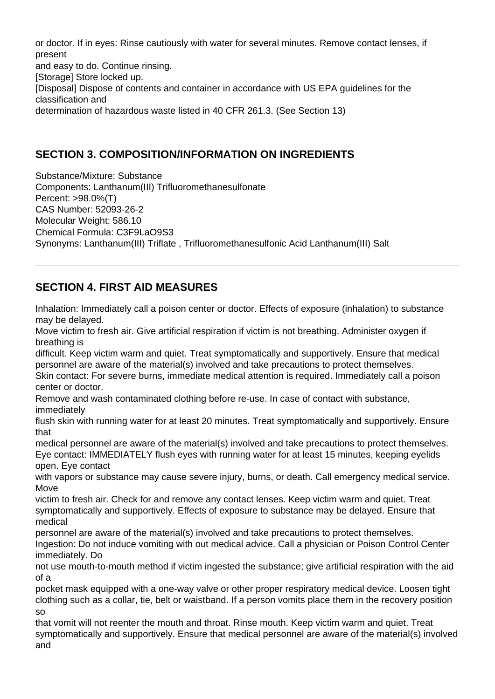or doctor. If in eyes: Rinse cautiously with water for several minutes. Remove contact lenses, if present and easy to do. Continue rinsing. [Storage] Store locked up. [Disposal] Dispose of contents and container in accordance with US EPA guidelines for the classification and determination of hazardous waste listed in 40 CFR 261.3. (See Section 13)

# **SECTION 3. COMPOSITION/INFORMATION ON INGREDIENTS**

Substance/Mixture: Substance

Components: Lanthanum(III) Trifluoromethanesulfonate Percent: >98.0%(T) CAS Number: 52093-26-2 Molecular Weight: 586.10 Chemical Formula: C3F9LaO9S3 Synonyms: Lanthanum(III) Triflate , Trifluoromethanesulfonic Acid Lanthanum(III) Salt

# **SECTION 4. FIRST AID MEASURES**

Inhalation: Immediately call a poison center or doctor. Effects of exposure (inhalation) to substance may be delayed.

Move victim to fresh air. Give artificial respiration if victim is not breathing. Administer oxygen if breathing is

difficult. Keep victim warm and quiet. Treat symptomatically and supportively. Ensure that medical personnel are aware of the material(s) involved and take precautions to protect themselves. Skin contact: For severe burns, immediate medical attention is required. Immediately call a poison center or doctor.

Remove and wash contaminated clothing before re-use. In case of contact with substance, immediately

flush skin with running water for at least 20 minutes. Treat symptomatically and supportively. Ensure that

medical personnel are aware of the material(s) involved and take precautions to protect themselves. Eye contact: IMMEDIATELY flush eyes with running water for at least 15 minutes, keeping eyelids open. Eye contact

with vapors or substance may cause severe injury, burns, or death. Call emergency medical service. **Move** 

victim to fresh air. Check for and remove any contact lenses. Keep victim warm and quiet. Treat symptomatically and supportively. Effects of exposure to substance may be delayed. Ensure that medical

personnel are aware of the material(s) involved and take precautions to protect themselves. Ingestion: Do not induce vomiting with out medical advice. Call a physician or Poison Control Center

immediately. Do not use mouth-to-mouth method if victim ingested the substance; give artificial respiration with the aid of a

pocket mask equipped with a one-way valve or other proper respiratory medical device. Loosen tight clothing such as a collar, tie, belt or waistband. If a person vomits place them in the recovery position so

that vomit will not reenter the mouth and throat. Rinse mouth. Keep victim warm and quiet. Treat symptomatically and supportively. Ensure that medical personnel are aware of the material(s) involved and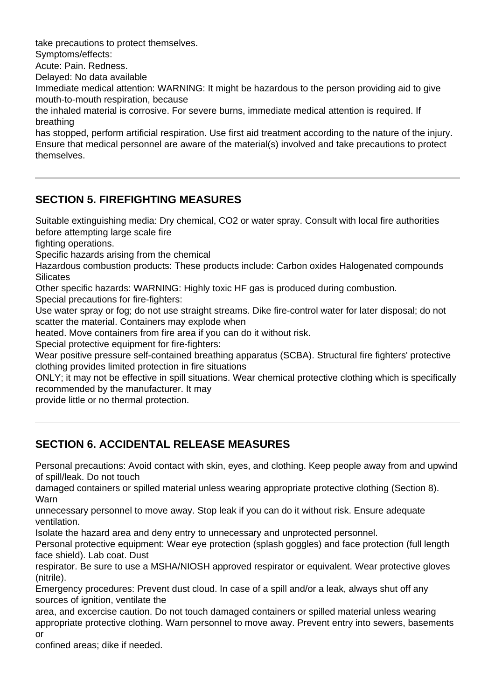take precautions to protect themselves.

Symptoms/effects:

Acute: Pain. Redness.

Delayed: No data available

Immediate medical attention: WARNING: It might be hazardous to the person providing aid to give mouth-to-mouth respiration, because

the inhaled material is corrosive. For severe burns, immediate medical attention is required. If breathing

has stopped, perform artificial respiration. Use first aid treatment according to the nature of the injury. Ensure that medical personnel are aware of the material(s) involved and take precautions to protect themselves.

# **SECTION 5. FIREFIGHTING MEASURES**

Suitable extinguishing media: Dry chemical, CO2 or water spray. Consult with local fire authorities before attempting large scale fire

fighting operations.

Specific hazards arising from the chemical

Hazardous combustion products: These products include: Carbon oxides Halogenated compounds **Silicates** 

Other specific hazards: WARNING: Highly toxic HF gas is produced during combustion.

Special precautions for fire-fighters:

Use water spray or fog; do not use straight streams. Dike fire-control water for later disposal; do not scatter the material. Containers may explode when

heated. Move containers from fire area if you can do it without risk.

Special protective equipment for fire-fighters:

Wear positive pressure self-contained breathing apparatus (SCBA). Structural fire fighters' protective clothing provides limited protection in fire situations

ONLY; it may not be effective in spill situations. Wear chemical protective clothing which is specifically recommended by the manufacturer. It may

provide little or no thermal protection.

# **SECTION 6. ACCIDENTAL RELEASE MEASURES**

Personal precautions: Avoid contact with skin, eyes, and clothing. Keep people away from and upwind of spill/leak. Do not touch

damaged containers or spilled material unless wearing appropriate protective clothing (Section 8). Warn

unnecessary personnel to move away. Stop leak if you can do it without risk. Ensure adequate ventilation.

Isolate the hazard area and deny entry to unnecessary and unprotected personnel.

Personal protective equipment: Wear eye protection (splash goggles) and face protection (full length face shield). Lab coat. Dust

respirator. Be sure to use a MSHA/NIOSH approved respirator or equivalent. Wear protective gloves (nitrile).

Emergency procedures: Prevent dust cloud. In case of a spill and/or a leak, always shut off any sources of ignition, ventilate the

area, and excercise caution. Do not touch damaged containers or spilled material unless wearing appropriate protective clothing. Warn personnel to move away. Prevent entry into sewers, basements or

confined areas; dike if needed.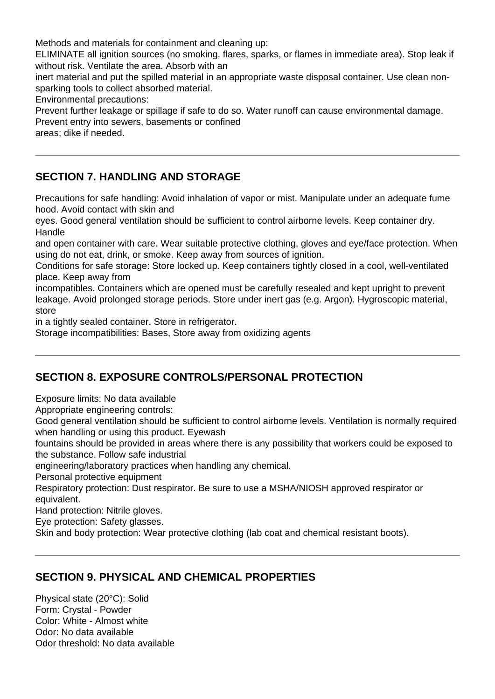Methods and materials for containment and cleaning up:

ELIMINATE all ignition sources (no smoking, flares, sparks, or flames in immediate area). Stop leak if without risk. Ventilate the area. Absorb with an

inert material and put the spilled material in an appropriate waste disposal container. Use clean nonsparking tools to collect absorbed material.

Environmental precautions:

Prevent further leakage or spillage if safe to do so. Water runoff can cause environmental damage. Prevent entry into sewers, basements or confined

areas; dike if needed.

### **SECTION 7. HANDLING AND STORAGE**

Precautions for safe handling: Avoid inhalation of vapor or mist. Manipulate under an adequate fume hood. Avoid contact with skin and

eyes. Good general ventilation should be sufficient to control airborne levels. Keep container dry. Handle

and open container with care. Wear suitable protective clothing, gloves and eye/face protection. When using do not eat, drink, or smoke. Keep away from sources of ignition.

Conditions for safe storage: Store locked up. Keep containers tightly closed in a cool, well-ventilated place. Keep away from

incompatibles. Containers which are opened must be carefully resealed and kept upright to prevent leakage. Avoid prolonged storage periods. Store under inert gas (e.g. Argon). Hygroscopic material, store

in a tightly sealed container. Store in refrigerator.

Storage incompatibilities: Bases, Store away from oxidizing agents

# **SECTION 8. EXPOSURE CONTROLS/PERSONAL PROTECTION**

Exposure limits: No data available

Appropriate engineering controls:

Good general ventilation should be sufficient to control airborne levels. Ventilation is normally required when handling or using this product. Eyewash

fountains should be provided in areas where there is any possibility that workers could be exposed to the substance. Follow safe industrial

engineering/laboratory practices when handling any chemical.

Personal protective equipment

Respiratory protection: Dust respirator. Be sure to use a MSHA/NIOSH approved respirator or equivalent.

Hand protection: Nitrile gloves.

Eye protection: Safety glasses.

Skin and body protection: Wear protective clothing (lab coat and chemical resistant boots).

#### **SECTION 9. PHYSICAL AND CHEMICAL PROPERTIES**

Physical state (20°C): Solid Form: Crystal - Powder Color: White - Almost white Odor: No data available Odor threshold: No data available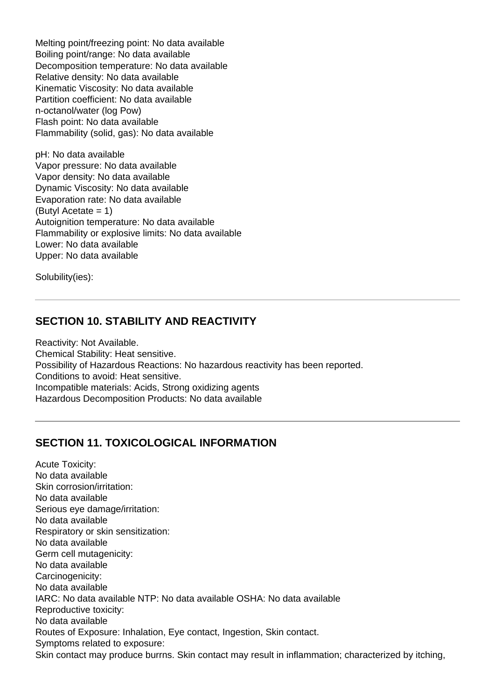Melting point/freezing point: No data available Boiling point/range: No data available Decomposition temperature: No data available Relative density: No data available Kinematic Viscosity: No data available Partition coefficient: No data available n-octanol/water (log Pow) Flash point: No data available Flammability (solid, gas): No data available

pH: No data available Vapor pressure: No data available Vapor density: No data available Dynamic Viscosity: No data available Evaporation rate: No data available (Butyl Acetate = 1) Autoignition temperature: No data available Flammability or explosive limits: No data available Lower: No data available Upper: No data available

Solubility(ies):

#### **SECTION 10. STABILITY AND REACTIVITY**

Reactivity: Not Available. Chemical Stability: Heat sensitive. Possibility of Hazardous Reactions: No hazardous reactivity has been reported. Conditions to avoid: Heat sensitive. Incompatible materials: Acids, Strong oxidizing agents Hazardous Decomposition Products: No data available

#### **SECTION 11. TOXICOLOGICAL INFORMATION**

Acute Toxicity: No data available Skin corrosion/irritation: No data available Serious eye damage/irritation: No data available Respiratory or skin sensitization: No data available Germ cell mutagenicity: No data available Carcinogenicity: No data available IARC: No data available NTP: No data available OSHA: No data available Reproductive toxicity: No data available Routes of Exposure: Inhalation, Eye contact, Ingestion, Skin contact. Symptoms related to exposure: Skin contact may produce burrns. Skin contact may result in inflammation; characterized by itching,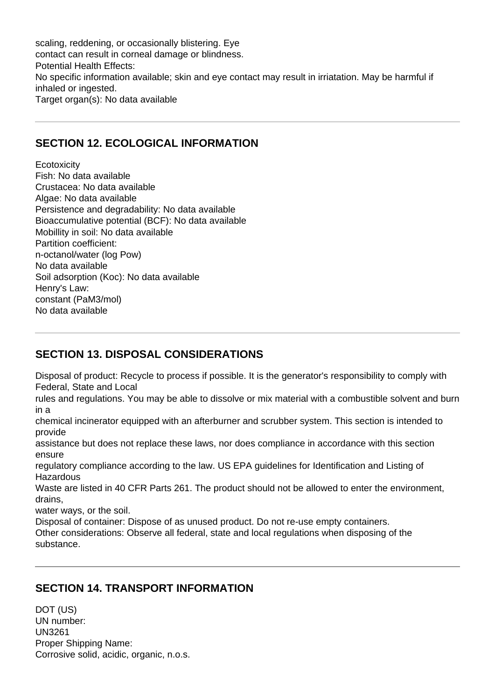scaling, reddening, or occasionally blistering. Eye contact can result in corneal damage or blindness. Potential Health Effects: No specific information available; skin and eye contact may result in irriatation. May be harmful if inhaled or ingested. Target organ(s): No data available

### **SECTION 12. ECOLOGICAL INFORMATION**

**Ecotoxicity** Fish: No data available Crustacea: No data available Algae: No data available Persistence and degradability: No data available Bioaccumulative potential (BCF): No data available Mobillity in soil: No data available Partition coefficient: n-octanol/water (log Pow) No data available Soil adsorption (Koc): No data available Henry's Law: constant (PaM3/mol) No data available

# **SECTION 13. DISPOSAL CONSIDERATIONS**

Disposal of product: Recycle to process if possible. It is the generator's responsibility to comply with Federal, State and Local

rules and regulations. You may be able to dissolve or mix material with a combustible solvent and burn in a

chemical incinerator equipped with an afterburner and scrubber system. This section is intended to provide

assistance but does not replace these laws, nor does compliance in accordance with this section ensure

regulatory compliance according to the law. US EPA guidelines for Identification and Listing of Hazardous

Waste are listed in 40 CFR Parts 261. The product should not be allowed to enter the environment, drains,

water ways, or the soil.

Disposal of container: Dispose of as unused product. Do not re-use empty containers. Other considerations: Observe all federal, state and local regulations when disposing of the substance.

#### **SECTION 14. TRANSPORT INFORMATION**

DOT (US) UN number: UN3261 Proper Shipping Name: Corrosive solid, acidic, organic, n.o.s.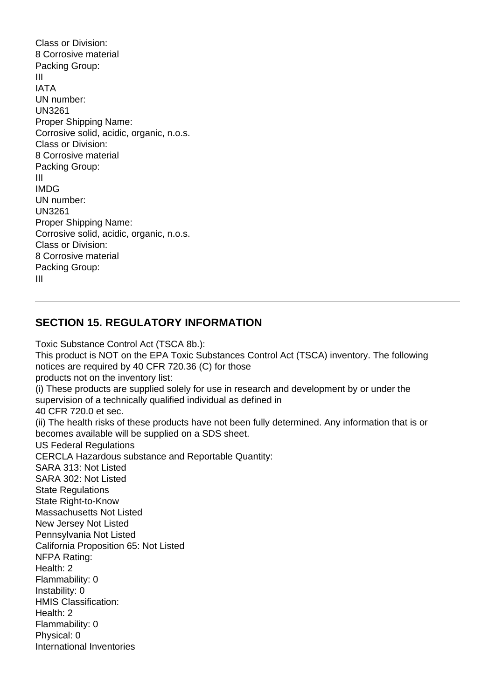Class or Division: 8 Corrosive material Packing Group: III IATA UN number: UN3261 Proper Shipping Name: Corrosive solid, acidic, organic, n.o.s. Class or Division: 8 Corrosive material Packing Group: III IMDG UN number: UN3261 Proper Shipping Name: Corrosive solid, acidic, organic, n.o.s. Class or Division: 8 Corrosive material Packing Group: III

#### **SECTION 15. REGULATORY INFORMATION**

Toxic Substance Control Act (TSCA 8b.): This product is NOT on the EPA Toxic Substances Control Act (TSCA) inventory. The following notices are required by 40 CFR 720.36 (C) for those products not on the inventory list: (i) These products are supplied solely for use in research and development by or under the supervision of a technically qualified individual as defined in 40 CFR 720.0 et sec. (ii) The health risks of these products have not been fully determined. Any information that is or becomes available will be supplied on a SDS sheet. US Federal Regulations CERCLA Hazardous substance and Reportable Quantity: SARA 313: Not Listed SARA 302: Not Listed **State Regulations** State Right-to-Know Massachusetts Not Listed New Jersey Not Listed Pennsylvania Not Listed California Proposition 65: Not Listed NFPA Rating: Health: 2 Flammability: 0 Instability: 0 HMIS Classification: Health: 2 Flammability: 0 Physical: 0 International Inventories